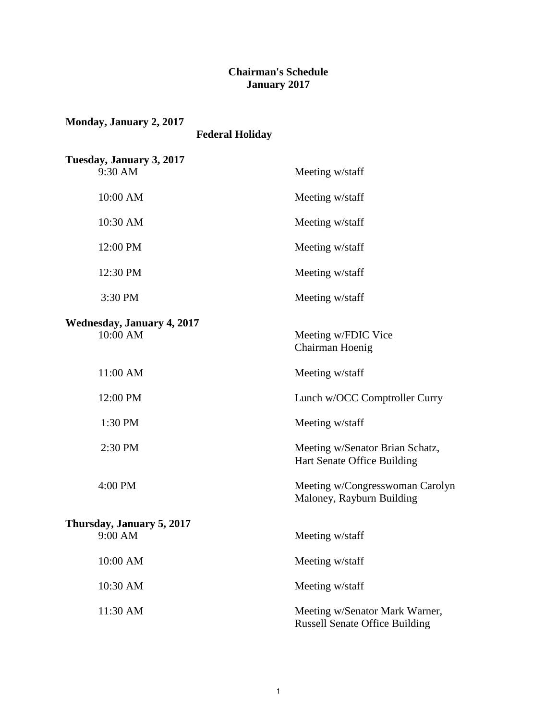#### **Chairman's Schedule January 2017**

| Monday, January 2, 2017<br><b>Federal Holiday</b> |                                                                         |
|---------------------------------------------------|-------------------------------------------------------------------------|
| Tuesday, January 3, 2017<br>9:30 AM               | Meeting w/staff                                                         |
| 10:00 AM                                          | Meeting w/staff                                                         |
| 10:30 AM                                          | Meeting w/staff                                                         |
| 12:00 PM                                          | Meeting w/staff                                                         |
| 12:30 PM                                          | Meeting w/staff                                                         |
| 3:30 PM                                           | Meeting w/staff                                                         |
| <b>Wednesday, January 4, 2017</b><br>10:00 AM     | Meeting w/FDIC Vice<br>Chairman Hoenig                                  |
| 11:00 AM                                          | Meeting w/staff                                                         |
| 12:00 PM                                          | Lunch w/OCC Comptroller Curry                                           |
| 1:30 PM                                           | Meeting w/staff                                                         |
| 2:30 PM                                           | Meeting w/Senator Brian Schatz,<br>Hart Senate Office Building          |
| 4:00 PM                                           | Meeting w/Congresswoman Carolyn<br>Maloney, Rayburn Building            |
| Thursday, January 5, 2017                         |                                                                         |
| 9:00 AM                                           | Meeting w/staff                                                         |
| 10:00 AM                                          | Meeting w/staff                                                         |
| 10:30 AM                                          | Meeting w/staff                                                         |
| 11:30 AM                                          | Meeting w/Senator Mark Warner,<br><b>Russell Senate Office Building</b> |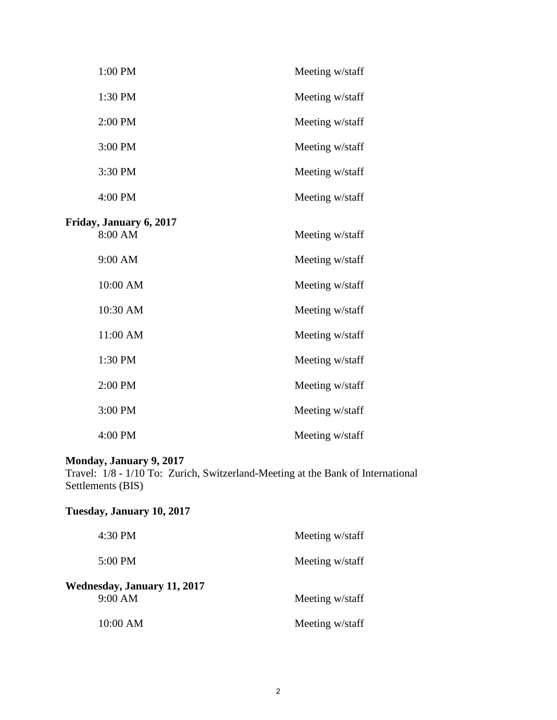| 1:00 PM                 | Meeting w/staff |
|-------------------------|-----------------|
| 1:30 PM                 | Meeting w/staff |
| 2:00 PM                 | Meeting w/staff |
| 3:00 PM                 | Meeting w/staff |
| 3:30 PM                 | Meeting w/staff |
| 4:00 PM                 | Meeting w/staff |
| Friday, January 6, 2017 |                 |
| 8:00 AM                 | Meeting w/staff |
| 9:00 AM                 | Meeting w/staff |
| 10:00 AM                | Meeting w/staff |
| 10:30 AM                | Meeting w/staff |
| 11:00 AM                | Meeting w/staff |
| 1:30 PM                 | Meeting w/staff |
| 2:00 PM                 | Meeting w/staff |
| 3:00 PM                 | Meeting w/staff |
| 4:00 PM                 | Meeting w/staff |

#### **Monday, January 9, 2017**

Travel: 1/8 - 1/10 To: Zurich, Switzerland-Meeting at the Bank of International Settlements (BIS)

#### **Tuesday, January 10, 2017**

| 4:30 PM                                       | Meeting w/staff |
|-----------------------------------------------|-----------------|
| $5:00 \text{ PM}$                             | Meeting w/staff |
| <b>Wednesday, January 11, 2017</b><br>9:00 AM | Meeting w/staff |
| 10:00 AM                                      | Meeting w/staff |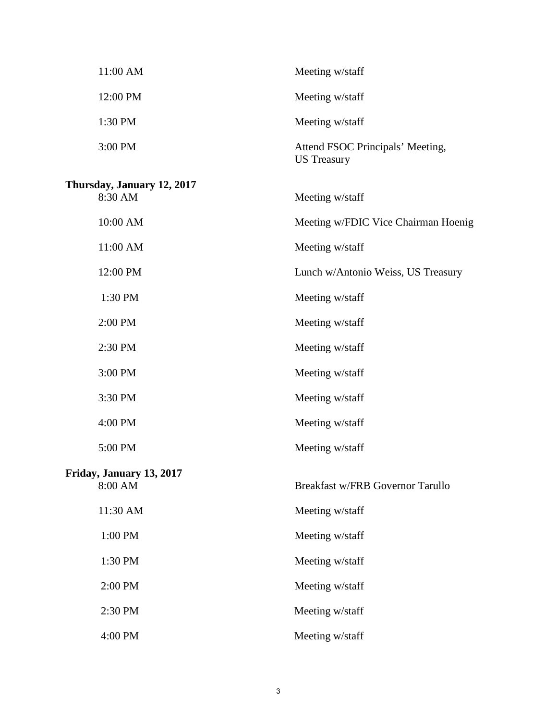| 11:00 AM                              | Meeting w/staff                                        |
|---------------------------------------|--------------------------------------------------------|
| 12:00 PM                              | Meeting w/staff                                        |
| 1:30 PM                               | Meeting w/staff                                        |
| 3:00 PM                               | Attend FSOC Principals' Meeting,<br><b>US</b> Treasury |
| Thursday, January 12, 2017<br>8:30 AM | Meeting w/staff                                        |
| 10:00 AM                              | Meeting w/FDIC Vice Chairman Hoenig                    |
| 11:00 AM                              | Meeting w/staff                                        |
| 12:00 PM                              | Lunch w/Antonio Weiss, US Treasury                     |
| 1:30 PM                               | Meeting w/staff                                        |
| 2:00 PM                               | Meeting w/staff                                        |
| 2:30 PM                               | Meeting w/staff                                        |
| 3:00 PM                               | Meeting w/staff                                        |
| 3:30 PM                               | Meeting w/staff                                        |
| 4:00 PM                               | Meeting w/staff                                        |
| 5:00 PM                               | Meeting w/staff                                        |
| Friday, January 13, 2017<br>8:00 AM   | <b>Breakfast w/FRB Governor Tarullo</b>                |
| 11:30 AM                              | Meeting w/staff                                        |
| 1:00 PM                               | Meeting w/staff                                        |
| 1:30 PM                               | Meeting w/staff                                        |
| 2:00 PM                               | Meeting w/staff                                        |
| 2:30 PM                               | Meeting w/staff                                        |
| 4:00 PM                               | Meeting w/staff                                        |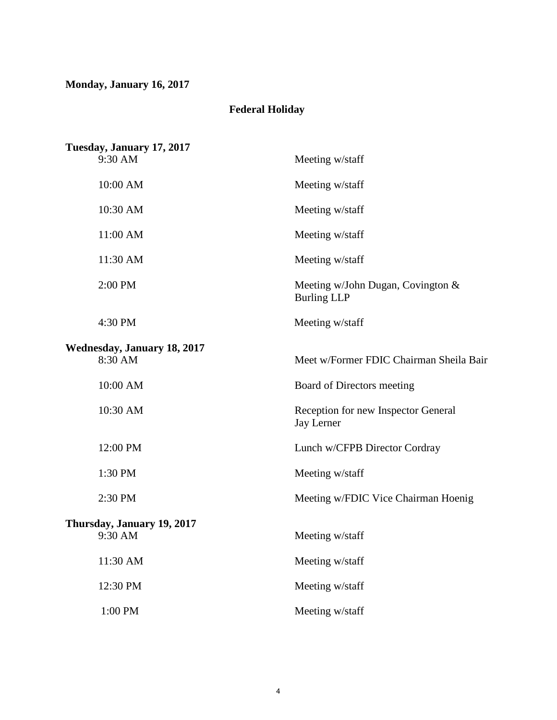## **Monday, January 16, 2017**

## **Federal Holiday**

| Tuesday, January 17, 2017          |                                                            |
|------------------------------------|------------------------------------------------------------|
| 9:30 AM                            | Meeting w/staff                                            |
| 10:00 AM                           | Meeting w/staff                                            |
| 10:30 AM                           | Meeting w/staff                                            |
| 11:00 AM                           | Meeting w/staff                                            |
| 11:30 AM                           | Meeting w/staff                                            |
| 2:00 PM                            | Meeting w/John Dugan, Covington $\&$<br><b>Burling LLP</b> |
| 4:30 PM                            | Meeting w/staff                                            |
| <b>Wednesday, January 18, 2017</b> |                                                            |
| 8:30 AM                            | Meet w/Former FDIC Chairman Sheila Bair                    |
| 10:00 AM                           | Board of Directors meeting                                 |
| 10:30 AM                           | Reception for new Inspector General<br><b>Jay Lerner</b>   |
| 12:00 PM                           | Lunch w/CFPB Director Cordray                              |
| 1:30 PM                            | Meeting w/staff                                            |
| 2:30 PM                            | Meeting w/FDIC Vice Chairman Hoenig                        |
| Thursday, January 19, 2017         |                                                            |
| 9:30 AM                            | Meeting w/staff                                            |
| 11:30 AM                           | Meeting w/staff                                            |
| 12:30 PM                           | Meeting w/staff                                            |
| 1:00 PM                            | Meeting w/staff                                            |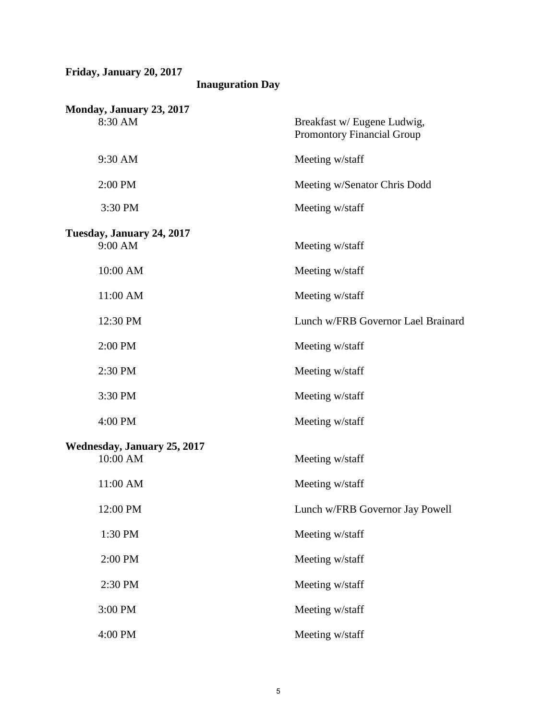| Friday, January 20, 2017<br><b>Inauguration Day</b> |                                                           |
|-----------------------------------------------------|-----------------------------------------------------------|
| Monday, January 23, 2017<br>8:30 AM                 | Breakfast w/ Eugene Ludwig,<br>Promontory Financial Group |
| 9:30 AM                                             | Meeting w/staff                                           |
| 2:00 PM                                             | Meeting w/Senator Chris Dodd                              |
| 3:30 PM                                             | Meeting w/staff                                           |
| Tuesday, January 24, 2017<br>9:00 AM                | Meeting w/staff                                           |
| 10:00 AM                                            | Meeting w/staff                                           |
| 11:00 AM                                            | Meeting w/staff                                           |
| 12:30 PM                                            | Lunch w/FRB Governor Lael Brainard                        |
| 2:00 PM                                             | Meeting w/staff                                           |
| 2:30 PM                                             | Meeting w/staff                                           |
| 3:30 PM                                             | Meeting w/staff                                           |
| 4:00 PM                                             | Meeting w/staff                                           |
| <b>Wednesday, January 25, 2017</b><br>10:00 AM      | Meeting w/staff                                           |
| 11:00 AM                                            | Meeting w/staff                                           |
| 12:00 PM                                            | Lunch w/FRB Governor Jay Powell                           |
| 1:30 PM                                             | Meeting w/staff                                           |
| 2:00 PM                                             | Meeting w/staff                                           |
| 2:30 PM                                             | Meeting w/staff                                           |
| 3:00 PM                                             | Meeting w/staff                                           |
| 4:00 PM                                             | Meeting w/staff                                           |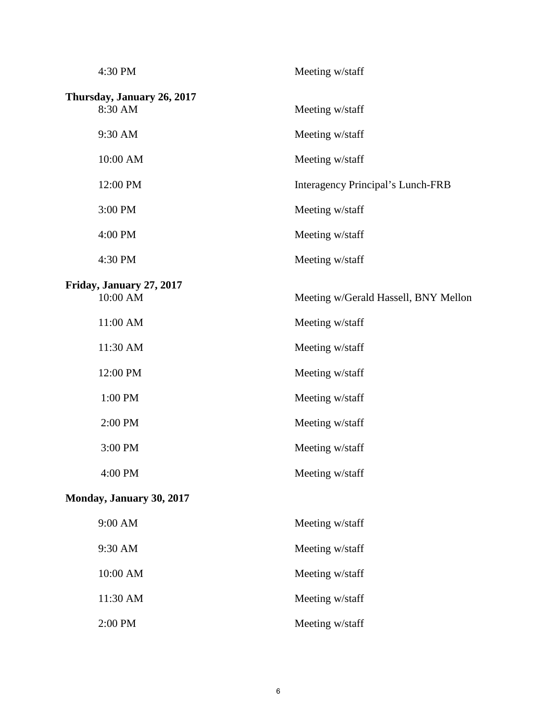| 4:30 PM                               | Meeting w/staff                      |
|---------------------------------------|--------------------------------------|
| Thursday, January 26, 2017<br>8:30 AM | Meeting w/staff                      |
| 9:30 AM                               | Meeting w/staff                      |
| 10:00 AM                              | Meeting w/staff                      |
| 12:00 PM                              | Interagency Principal's Lunch-FRB    |
| 3:00 PM                               | Meeting w/staff                      |
| 4:00 PM                               | Meeting w/staff                      |
| 4:30 PM                               | Meeting w/staff                      |
| Friday, January 27, 2017<br>10:00 AM  | Meeting w/Gerald Hassell, BNY Mellon |
| 11:00 AM                              | Meeting w/staff                      |
| 11:30 AM                              | Meeting w/staff                      |
| 12:00 PM                              | Meeting w/staff                      |
| 1:00 PM                               | Meeting w/staff                      |
| 2:00 PM                               | Meeting w/staff                      |
| 3:00 PM                               | Meeting w/staff                      |
| 4:00 PM                               | Meeting w/staff                      |
| Monday, January 30, 2017              |                                      |
| 9:00 AM                               | Meeting w/staff                      |
| 9:30 AM                               | Meeting w/staff                      |
| 10:00 AM                              | Meeting w/staff                      |
| 11:30 AM                              | Meeting w/staff                      |
| 2:00 PM                               | Meeting w/staff                      |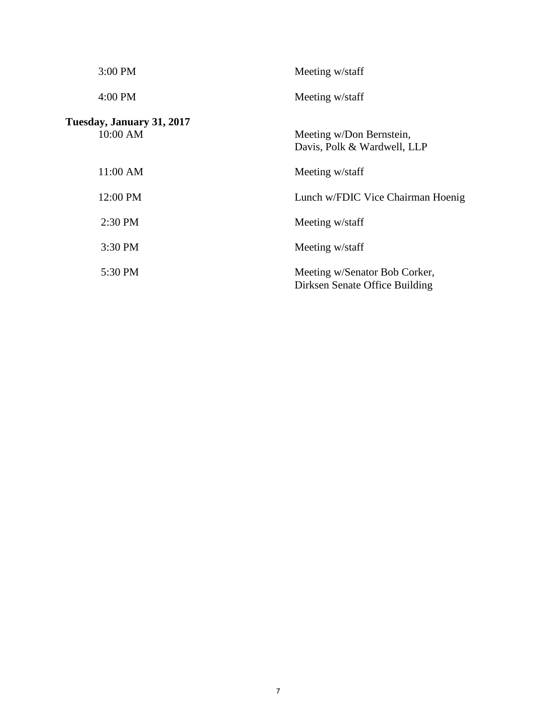| 3:00 PM                               | Meeting w/staff                                                 |
|---------------------------------------|-----------------------------------------------------------------|
| 4:00 PM                               | Meeting w/staff                                                 |
| Tuesday, January 31, 2017<br>10:00 AM | Meeting w/Don Bernstein,<br>Davis, Polk & Wardwell, LLP         |
| 11:00 AM                              | Meeting w/staff                                                 |
| 12:00 PM                              | Lunch w/FDIC Vice Chairman Hoenig                               |
| 2:30 PM                               | Meeting w/staff                                                 |
| 3:30 PM                               | Meeting w/staff                                                 |
| 5:30 PM                               | Meeting w/Senator Bob Corker,<br>Dirksen Senate Office Building |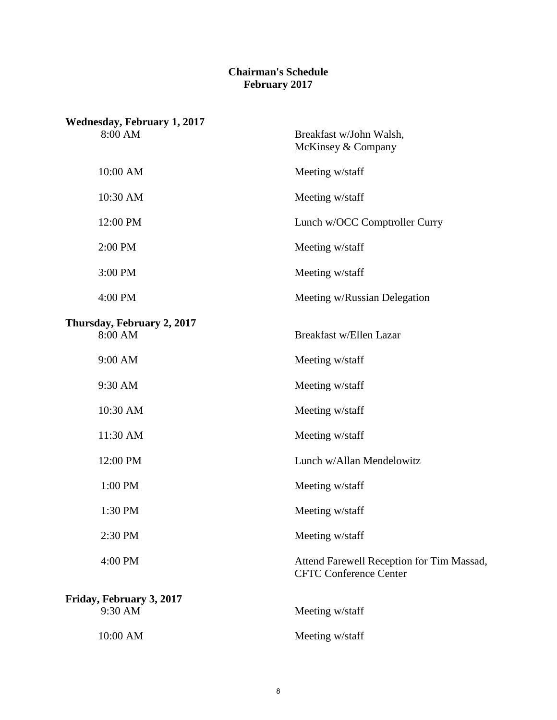#### **Chairman's Schedule February 2017**

| <b>Wednesday, February 1, 2017</b><br>8:00 AM | Breakfast w/John Walsh,<br>McKinsey & Company                              |
|-----------------------------------------------|----------------------------------------------------------------------------|
| 10:00 AM                                      | Meeting w/staff                                                            |
| 10:30 AM                                      | Meeting w/staff                                                            |
| 12:00 PM                                      | Lunch w/OCC Comptroller Curry                                              |
| 2:00 PM                                       | Meeting w/staff                                                            |
| 3:00 PM                                       | Meeting w/staff                                                            |
| 4:00 PM                                       | Meeting w/Russian Delegation                                               |
| Thursday, February 2, 2017                    |                                                                            |
| 8:00 AM                                       | Breakfast w/Ellen Lazar                                                    |
| 9:00 AM                                       | Meeting w/staff                                                            |
| 9:30 AM                                       | Meeting w/staff                                                            |
| 10:30 AM                                      | Meeting w/staff                                                            |
| 11:30 AM                                      | Meeting w/staff                                                            |
| 12:00 PM                                      | Lunch w/Allan Mendelowitz                                                  |
| 1:00 PM                                       | Meeting w/staff                                                            |
| 1:30 PM                                       | Meeting w/staff                                                            |
| 2:30 PM                                       | Meeting w/staff                                                            |
| 4:00 PM                                       | Attend Farewell Reception for Tim Massad,<br><b>CFTC Conference Center</b> |
| Friday, February 3, 2017                      |                                                                            |
| 9:30 AM                                       | Meeting w/staff                                                            |
| 10:00 AM                                      | Meeting w/staff                                                            |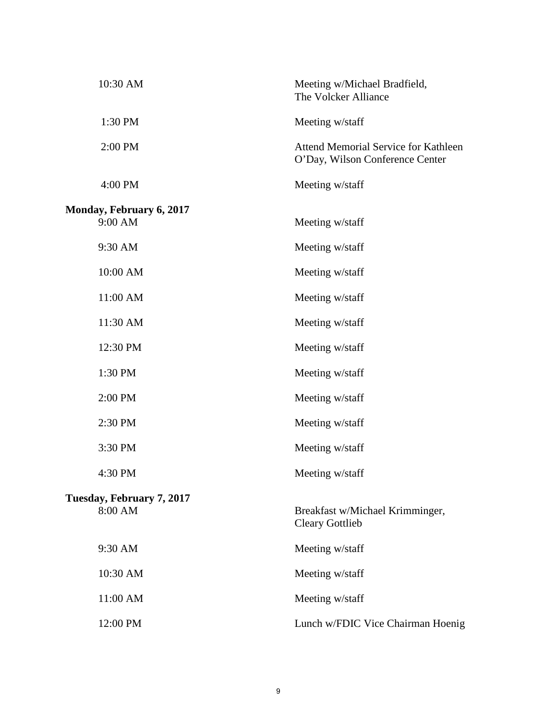| 10:30 AM                  | Meeting w/Michael Bradfield,<br>The Volcker Alliance                    |
|---------------------------|-------------------------------------------------------------------------|
| 1:30 PM                   | Meeting w/staff                                                         |
| 2:00 PM                   | Attend Memorial Service for Kathleen<br>O'Day, Wilson Conference Center |
| 4:00 PM                   | Meeting w/staff                                                         |
| Monday, February 6, 2017  |                                                                         |
| 9:00 AM                   | Meeting w/staff                                                         |
| 9:30 AM                   | Meeting w/staff                                                         |
| 10:00 AM                  | Meeting w/staff                                                         |
| 11:00 AM                  | Meeting w/staff                                                         |
| 11:30 AM                  | Meeting w/staff                                                         |
| 12:30 PM                  | Meeting w/staff                                                         |
| 1:30 PM                   | Meeting w/staff                                                         |
| 2:00 PM                   | Meeting w/staff                                                         |
| 2:30 PM                   | Meeting w/staff                                                         |
| 3:30 PM                   | Meeting w/staff                                                         |
| 4:30 PM                   | Meeting w/staff                                                         |
| Tuesday, February 7, 2017 |                                                                         |
| 8:00 AM                   | Breakfast w/Michael Krimminger,<br><b>Cleary Gottlieb</b>               |
| 9:30 AM                   | Meeting w/staff                                                         |
| 10:30 AM                  | Meeting w/staff                                                         |
| 11:00 AM                  | Meeting w/staff                                                         |
| 12:00 PM                  | Lunch w/FDIC Vice Chairman Hoenig                                       |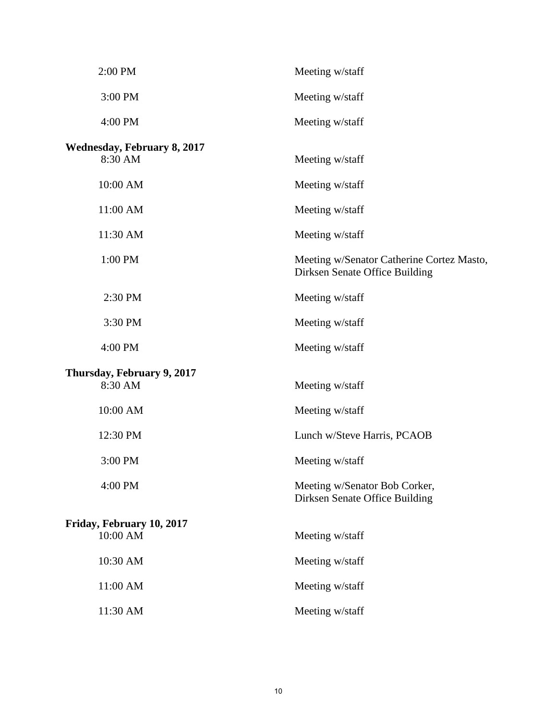| 2:00 PM                                       | Meeting w/staff                                                             |
|-----------------------------------------------|-----------------------------------------------------------------------------|
| 3:00 PM                                       | Meeting w/staff                                                             |
| 4:00 PM                                       | Meeting w/staff                                                             |
| <b>Wednesday, February 8, 2017</b><br>8:30 AM | Meeting w/staff                                                             |
| 10:00 AM                                      | Meeting w/staff                                                             |
| 11:00 AM                                      | Meeting w/staff                                                             |
| 11:30 AM                                      | Meeting w/staff                                                             |
| 1:00 PM                                       | Meeting w/Senator Catherine Cortez Masto,<br>Dirksen Senate Office Building |
| 2:30 PM                                       | Meeting w/staff                                                             |
| 3:30 PM                                       | Meeting w/staff                                                             |
| 4:00 PM                                       | Meeting w/staff                                                             |
| Thursday, February 9, 2017<br>8:30 AM         | Meeting w/staff                                                             |
| 10:00 AM                                      | Meeting w/staff                                                             |
| 12:30 PM                                      | Lunch w/Steve Harris, PCAOB                                                 |
| 3:00 PM                                       | Meeting w/staff                                                             |
| 4:00 PM                                       | Meeting w/Senator Bob Corker,<br>Dirksen Senate Office Building             |
| Friday, February 10, 2017<br>10:00 AM         | Meeting w/staff                                                             |
| 10:30 AM                                      | Meeting w/staff                                                             |
| 11:00 AM                                      | Meeting w/staff                                                             |
| 11:30 AM                                      | Meeting w/staff                                                             |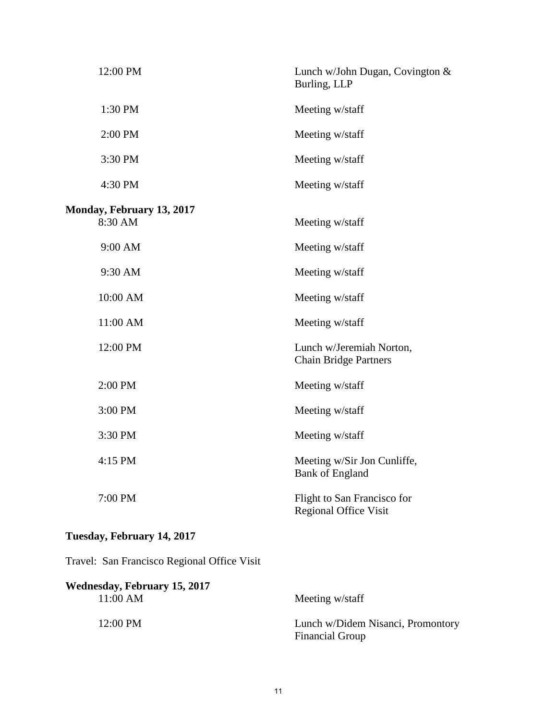| 12:00 PM                             | Lunch w/John Dugan, Covington &<br>Burling, LLP             |
|--------------------------------------|-------------------------------------------------------------|
| 1:30 PM                              | Meeting w/staff                                             |
| 2:00 PM                              | Meeting w/staff                                             |
| 3:30 PM                              | Meeting w/staff                                             |
| 4:30 PM                              | Meeting w/staff                                             |
| Monday, February 13, 2017<br>8:30 AM | Meeting w/staff                                             |
|                                      |                                                             |
| 9:00 AM                              | Meeting w/staff                                             |
| 9:30 AM                              | Meeting w/staff                                             |
| 10:00 AM                             | Meeting w/staff                                             |
| 11:00 AM                             | Meeting w/staff                                             |
| 12:00 PM                             | Lunch w/Jeremiah Norton,<br><b>Chain Bridge Partners</b>    |
| 2:00 PM                              | Meeting w/staff                                             |
| 3:00 PM                              | Meeting w/staff                                             |
| 3:30 PM                              | Meeting w/staff                                             |
| 4:15 PM                              | Meeting w/Sir Jon Cunliffe,<br><b>Bank of England</b>       |
| 7:00 PM                              | Flight to San Francisco for<br><b>Regional Office Visit</b> |

## **Tuesday, February 14, 2017**

Travel: San Francisco Regional Office Visit

| Wednesday, February 15, 2017 |                                                             |
|------------------------------|-------------------------------------------------------------|
| 11:00 AM                     | Meeting w/staff                                             |
| 12:00 PM                     | Lunch w/Didem Nisanci, Promontory<br><b>Financial Group</b> |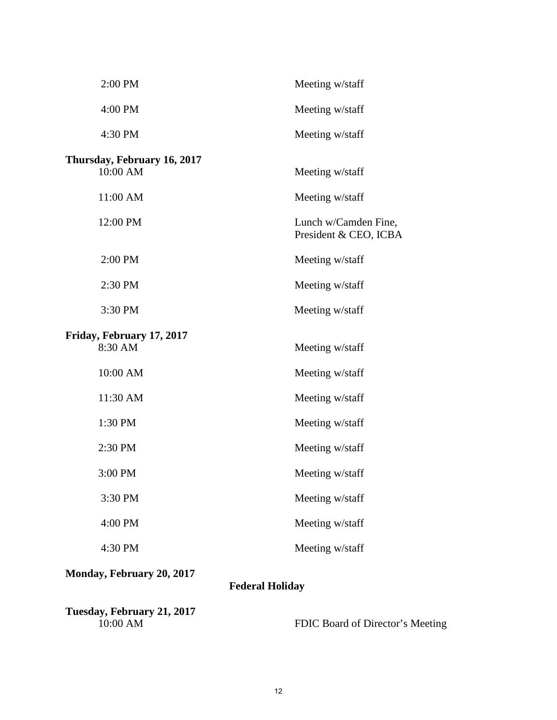| 2:00 PM                                 | Meeting w/staff                               |
|-----------------------------------------|-----------------------------------------------|
| 4:00 PM                                 | Meeting w/staff                               |
| 4:30 PM                                 | Meeting w/staff                               |
| Thursday, February 16, 2017<br>10:00 AM | Meeting w/staff                               |
| 11:00 AM                                | Meeting w/staff                               |
| 12:00 PM                                | Lunch w/Camden Fine,<br>President & CEO, ICBA |
| 2:00 PM                                 | Meeting w/staff                               |
| 2:30 PM                                 | Meeting w/staff                               |
| 3:30 PM                                 | Meeting w/staff                               |
| Friday, February 17, 2017<br>8:30 AM    | Meeting w/staff                               |
| 10:00 AM                                | Meeting w/staff                               |
| 11:30 AM                                | Meeting w/staff                               |
| 1:30 PM                                 | Meeting w/staff                               |
| 2:30 PM                                 | Meeting w/staff                               |
| 3:00 PM                                 | Meeting w/staff                               |
| 3:30 PM                                 | Meeting w/staff                               |
| 4:00 PM                                 | Meeting w/staff                               |
| 4:30 PM                                 | Meeting w/staff                               |
|                                         |                                               |

# **Monday, February 20, 2017**

## **Federal Holiday**

**Tuesday, February 21, 2017** 

FDIC Board of Director's Meeting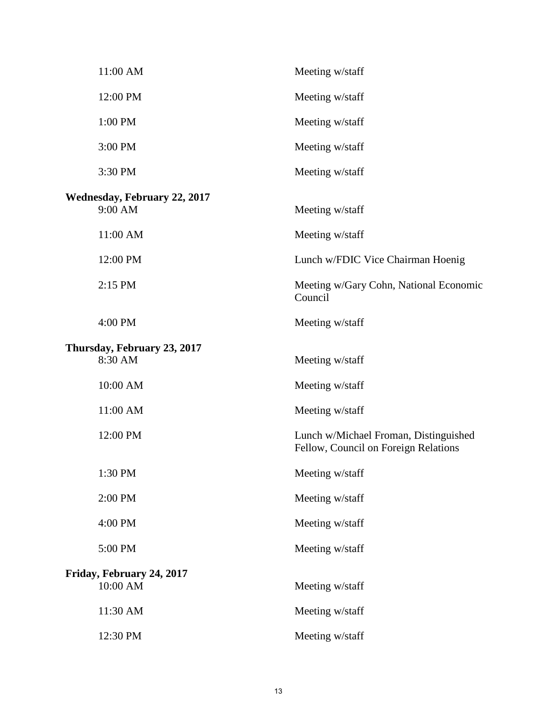| 11:00 AM                                       | Meeting w/staff                                                               |
|------------------------------------------------|-------------------------------------------------------------------------------|
| 12:00 PM                                       | Meeting w/staff                                                               |
| 1:00 PM                                        | Meeting w/staff                                                               |
| 3:00 PM                                        | Meeting w/staff                                                               |
| 3:30 PM                                        | Meeting w/staff                                                               |
| <b>Wednesday, February 22, 2017</b><br>9:00 AM | Meeting w/staff                                                               |
| 11:00 AM                                       | Meeting w/staff                                                               |
| 12:00 PM                                       | Lunch w/FDIC Vice Chairman Hoenig                                             |
| 2:15 PM                                        | Meeting w/Gary Cohn, National Economic<br>Council                             |
| 4:00 PM                                        | Meeting w/staff                                                               |
| Thursday, February 23, 2017<br>8:30 AM         | Meeting w/staff                                                               |
| 10:00 AM                                       | Meeting w/staff                                                               |
| 11:00 AM                                       | Meeting w/staff                                                               |
| 12:00 PM                                       | Lunch w/Michael Froman, Distinguished<br>Fellow, Council on Foreign Relations |
| 1:30 PM                                        | Meeting w/staff                                                               |
| 2:00 PM                                        | Meeting w/staff                                                               |
| 4:00 PM                                        | Meeting w/staff                                                               |
| 5:00 PM                                        | Meeting w/staff                                                               |
| Friday, February 24, 2017<br>10:00 AM          | Meeting w/staff                                                               |
| 11:30 AM                                       | Meeting w/staff                                                               |
| 12:30 PM                                       | Meeting w/staff                                                               |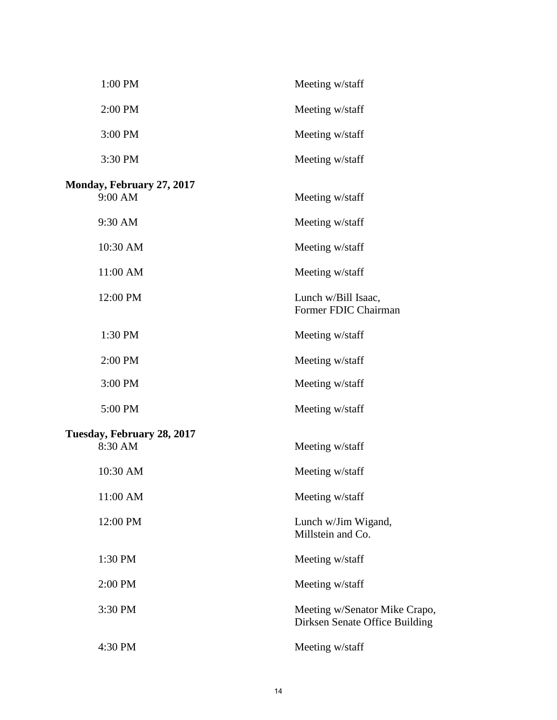| 1:00 PM                               | Meeting w/staff                                                 |
|---------------------------------------|-----------------------------------------------------------------|
| 2:00 PM                               | Meeting w/staff                                                 |
| 3:00 PM                               | Meeting w/staff                                                 |
| 3:30 PM                               | Meeting w/staff                                                 |
| Monday, February 27, 2017<br>9:00 AM  | Meeting w/staff                                                 |
| 9:30 AM                               | Meeting w/staff                                                 |
| 10:30 AM                              | Meeting w/staff                                                 |
| 11:00 AM                              | Meeting w/staff                                                 |
| 12:00 PM                              | Lunch w/Bill Isaac,<br>Former FDIC Chairman                     |
| 1:30 PM                               | Meeting w/staff                                                 |
| 2:00 PM                               | Meeting w/staff                                                 |
| 3:00 PM                               | Meeting w/staff                                                 |
| 5:00 PM                               | Meeting w/staff                                                 |
| Tuesday, February 28, 2017<br>8:30 AM | Meeting w/staff                                                 |
| 10:30 AM                              | Meeting w/staff                                                 |
| 11:00 AM                              | Meeting w/staff                                                 |
| 12:00 PM                              | Lunch w/Jim Wigand,<br>Millstein and Co.                        |
| 1:30 PM                               | Meeting w/staff                                                 |
| 2:00 PM                               | Meeting w/staff                                                 |
| 3:30 PM                               | Meeting w/Senator Mike Crapo,<br>Dirksen Senate Office Building |
| 4:30 PM                               | Meeting w/staff                                                 |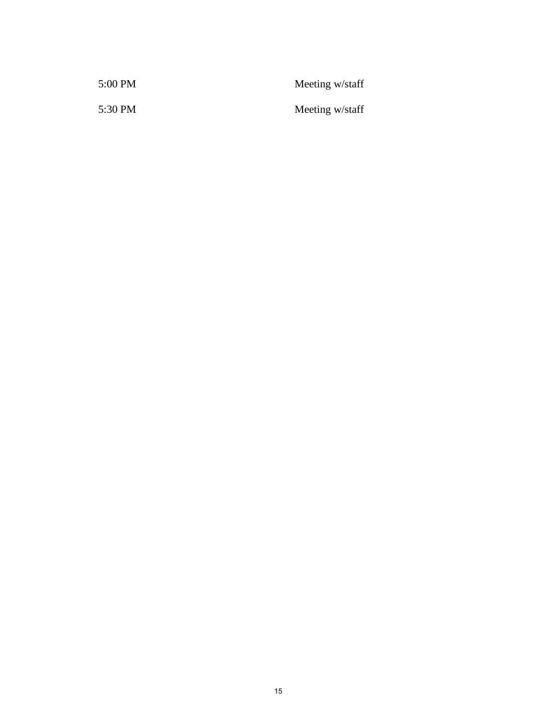| 5:00 PM | Meeting w/staff |
|---------|-----------------|
| 5:30 PM | Meeting w/staff |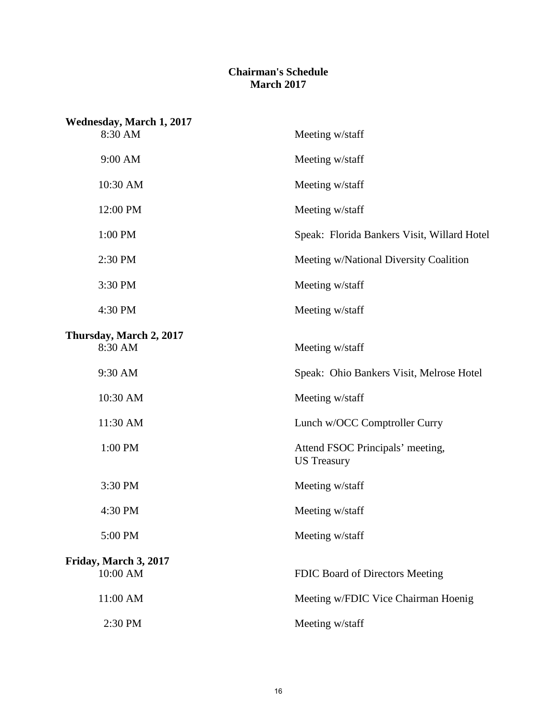#### **Chairman's Schedule March 2017**

| <b>Wednesday, March 1, 2017</b> |                                                        |
|---------------------------------|--------------------------------------------------------|
| 8:30 AM                         | Meeting w/staff                                        |
| 9:00 AM                         | Meeting w/staff                                        |
| 10:30 AM                        | Meeting w/staff                                        |
| 12:00 PM                        | Meeting w/staff                                        |
| 1:00 PM                         | Speak: Florida Bankers Visit, Willard Hotel            |
| 2:30 PM                         | Meeting w/National Diversity Coalition                 |
| 3:30 PM                         | Meeting w/staff                                        |
| 4:30 PM                         | Meeting w/staff                                        |
| Thursday, March 2, 2017         |                                                        |
| 8:30 AM                         | Meeting w/staff                                        |
| 9:30 AM                         | Speak: Ohio Bankers Visit, Melrose Hotel               |
| 10:30 AM                        | Meeting w/staff                                        |
| 11:30 AM                        | Lunch w/OCC Comptroller Curry                          |
| 1:00 PM                         | Attend FSOC Principals' meeting,<br><b>US</b> Treasury |
| 3:30 PM                         | Meeting w/staff                                        |
| 4:30 PM                         | Meeting w/staff                                        |
| 5:00 PM                         | Meeting w/staff                                        |
| Friday, March 3, 2017           |                                                        |
| 10:00 AM                        | FDIC Board of Directors Meeting                        |
| 11:00 AM                        | Meeting w/FDIC Vice Chairman Hoenig                    |
| 2:30 PM                         | Meeting w/staff                                        |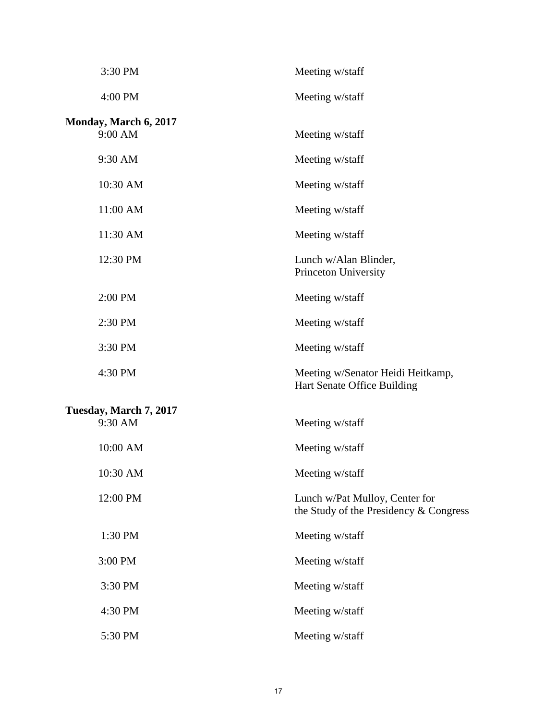| 3:30 PM                          | Meeting w/staff                                                          |
|----------------------------------|--------------------------------------------------------------------------|
| 4:00 PM                          | Meeting w/staff                                                          |
| Monday, March 6, 2017<br>9:00 AM | Meeting w/staff                                                          |
| 9:30 AM                          | Meeting w/staff                                                          |
| 10:30 AM                         | Meeting w/staff                                                          |
| 11:00 AM                         | Meeting w/staff                                                          |
| 11:30 AM                         | Meeting w/staff                                                          |
| 12:30 PM                         | Lunch w/Alan Blinder,<br>Princeton University                            |
| 2:00 PM                          | Meeting w/staff                                                          |
| 2:30 PM                          | Meeting w/staff                                                          |
| 3:30 PM                          | Meeting w/staff                                                          |
| 4:30 PM                          | Meeting w/Senator Heidi Heitkamp,<br>Hart Senate Office Building         |
| Tuesday, March 7, 2017           |                                                                          |
| 9:30 AM                          | Meeting w/staff                                                          |
| 10:00 AM                         | Meeting w/staff                                                          |
| 10:30 AM                         | Meeting w/staff                                                          |
| 12:00 PM                         | Lunch w/Pat Mulloy, Center for<br>the Study of the Presidency & Congress |
| 1:30 PM                          | Meeting w/staff                                                          |
| 3:00 PM                          | Meeting w/staff                                                          |
| 3:30 PM                          | Meeting w/staff                                                          |
| 4:30 PM                          | Meeting w/staff                                                          |
| 5:30 PM                          | Meeting w/staff                                                          |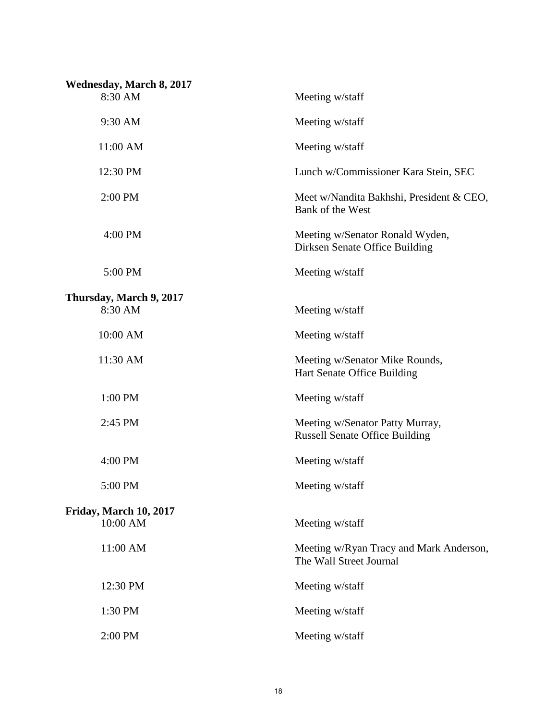| <b>Wednesday, March 8, 2017</b>    |                                                                          |
|------------------------------------|--------------------------------------------------------------------------|
| 8:30 AM                            | Meeting w/staff                                                          |
| 9:30 AM                            | Meeting w/staff                                                          |
| 11:00 AM                           | Meeting w/staff                                                          |
| 12:30 PM                           | Lunch w/Commissioner Kara Stein, SEC                                     |
| 2:00 PM                            | Meet w/Nandita Bakhshi, President & CEO,<br>Bank of the West             |
| 4:00 PM                            | Meeting w/Senator Ronald Wyden,<br>Dirksen Senate Office Building        |
| 5:00 PM                            | Meeting w/staff                                                          |
|                                    |                                                                          |
| Thursday, March 9, 2017<br>8:30 AM | Meeting w/staff                                                          |
| 10:00 AM                           | Meeting w/staff                                                          |
| 11:30 AM                           | Meeting w/Senator Mike Rounds,<br>Hart Senate Office Building            |
| 1:00 PM                            | Meeting w/staff                                                          |
| 2:45 PM                            | Meeting w/Senator Patty Murray,<br><b>Russell Senate Office Building</b> |
| 4:00 PM                            | Meeting w/staff                                                          |
| 5:00 PM                            | Meeting w/staff                                                          |
|                                    |                                                                          |
| Friday, March 10, 2017<br>10:00 AM | Meeting w/staff                                                          |
| 11:00 AM                           | Meeting w/Ryan Tracy and Mark Anderson,<br>The Wall Street Journal       |
| 12:30 PM                           | Meeting w/staff                                                          |
| 1:30 PM                            | Meeting w/staff                                                          |
| 2:00 PM                            | Meeting w/staff                                                          |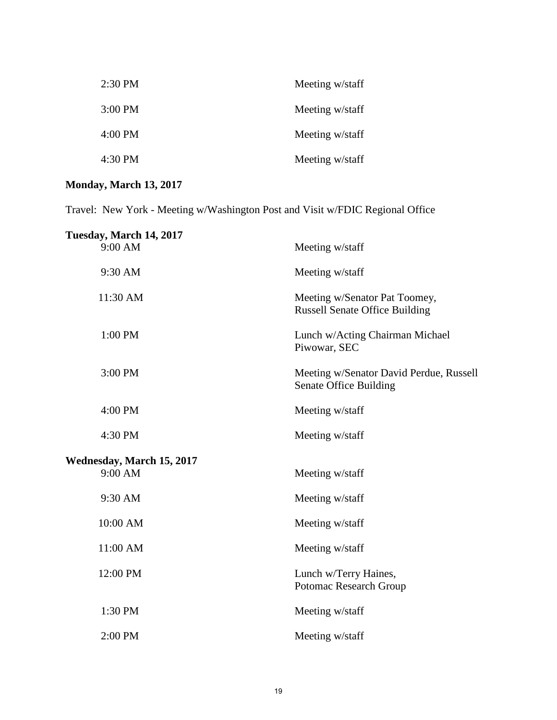| Meeting w/staff | $2:30$ PM         |
|-----------------|-------------------|
| Meeting w/staff | $3:00$ PM         |
| Meeting w/staff | $4:00 \text{ PM}$ |
| Meeting w/staff | $4:30$ PM         |

## **Monday, March 13, 2017**

Travel: New York - Meeting w/Washington Post and Visit w/FDIC Regional Office

| Tuesday, March 14, 2017              |                                                                        |
|--------------------------------------|------------------------------------------------------------------------|
| 9:00 AM                              | Meeting w/staff                                                        |
| 9:30 AM                              | Meeting w/staff                                                        |
| 11:30 AM                             | Meeting w/Senator Pat Toomey,<br><b>Russell Senate Office Building</b> |
| 1:00 PM                              | Lunch w/Acting Chairman Michael<br>Piwowar, SEC                        |
| 3:00 PM                              | Meeting w/Senator David Perdue, Russell<br>Senate Office Building      |
| 4:00 PM                              | Meeting w/staff                                                        |
| 4:30 PM                              | Meeting w/staff                                                        |
|                                      |                                                                        |
| Wednesday, March 15, 2017<br>9:00 AM | Meeting w/staff                                                        |
| 9:30 AM                              | Meeting w/staff                                                        |
| 10:00 AM                             | Meeting w/staff                                                        |
| 11:00 AM                             | Meeting w/staff                                                        |
| 12:00 PM                             | Lunch w/Terry Haines,<br>Potomac Research Group                        |
| 1:30 PM                              | Meeting w/staff                                                        |
| 2:00 PM                              | Meeting w/staff                                                        |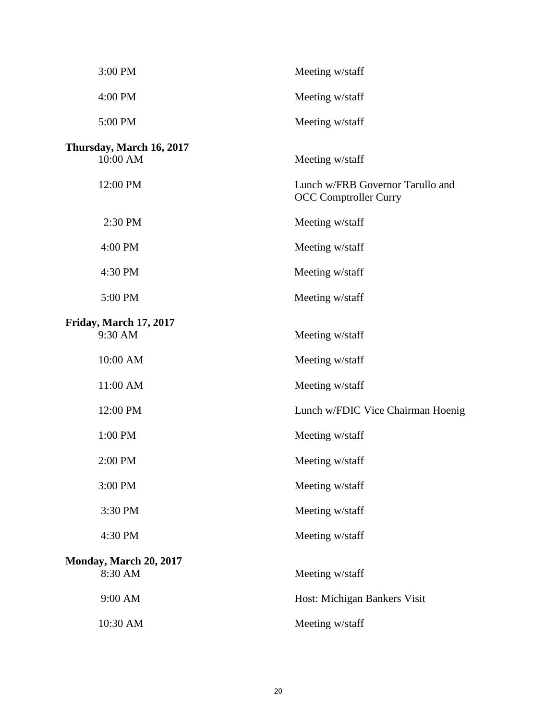| 3:00 PM                                  | Meeting w/staff                                                  |
|------------------------------------------|------------------------------------------------------------------|
| 4:00 PM                                  | Meeting w/staff                                                  |
| 5:00 PM                                  | Meeting w/staff                                                  |
| Thursday, March 16, 2017<br>10:00 AM     | Meeting w/staff                                                  |
| 12:00 PM                                 | Lunch w/FRB Governor Tarullo and<br><b>OCC Comptroller Curry</b> |
| 2:30 PM                                  | Meeting w/staff                                                  |
| 4:00 PM                                  | Meeting w/staff                                                  |
| 4:30 PM                                  | Meeting w/staff                                                  |
| 5:00 PM                                  | Meeting w/staff                                                  |
| Friday, March 17, 2017<br>9:30 AM        | Meeting w/staff                                                  |
| 10:00 AM                                 | Meeting w/staff                                                  |
| 11:00 AM                                 | Meeting w/staff                                                  |
| 12:00 PM                                 | Lunch w/FDIC Vice Chairman Hoenig                                |
| 1:00 PM                                  | Meeting w/staff                                                  |
| 2:00 PM                                  | Meeting w/staff                                                  |
| 3:00 PM                                  | Meeting w/staff                                                  |
| 3:30 PM                                  | Meeting w/staff                                                  |
| 4:30 PM                                  | Meeting w/staff                                                  |
| <b>Monday, March 20, 2017</b><br>8:30 AM | Meeting w/staff                                                  |
| 9:00 AM                                  | Host: Michigan Bankers Visit                                     |
| 10:30 AM                                 | Meeting w/staff                                                  |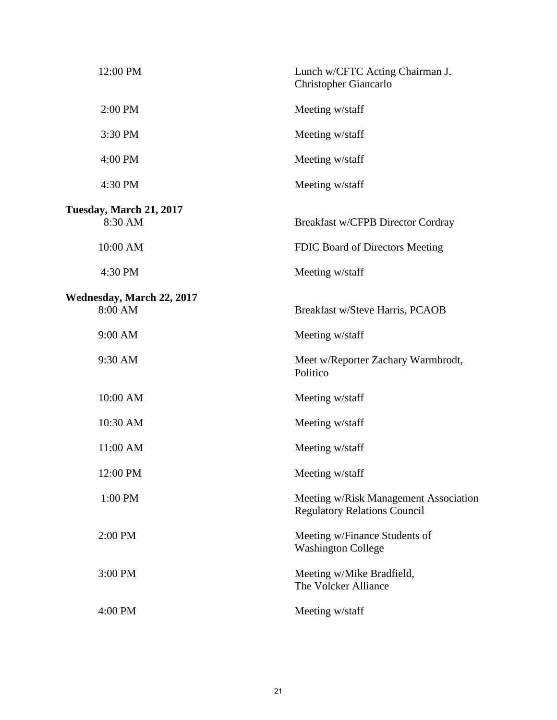| 12:00 PM                                    | Lunch w/CFTC Acting Chairman J.<br>Christopher Giancarlo                     |
|---------------------------------------------|------------------------------------------------------------------------------|
| 2:00 PM                                     | Meeting w/staff                                                              |
| 3:30 PM                                     | Meeting w/staff                                                              |
| 4:00 PM                                     | Meeting w/staff                                                              |
| 4:30 PM                                     | Meeting w/staff                                                              |
| Tuesday, March 21, 2017<br>8:30 AM          | Breakfast w/CFPB Director Cordray                                            |
| 10:00 AM                                    | FDIC Board of Directors Meeting                                              |
| 4:30 PM                                     | Meeting w/staff                                                              |
| <b>Wednesday, March 22, 2017</b><br>8:00 AM | Breakfast w/Steve Harris, PCAOB                                              |
| 9:00 AM                                     | Meeting w/staff                                                              |
| 9:30 AM                                     | Meet w/Reporter Zachary Warmbrodt,<br>Politico                               |
| 10:00 AM                                    | Meeting w/staff                                                              |
| 10:30 AM                                    | Meeting w/staff                                                              |
| 11:00 AM                                    | Meeting w/staff                                                              |
| 12:00 PM                                    | Meeting w/staff                                                              |
| 1:00 PM                                     | Meeting w/Risk Management Association<br><b>Regulatory Relations Council</b> |
| 2:00 PM                                     | Meeting w/Finance Students of<br><b>Washington College</b>                   |
| 3:00 PM                                     | Meeting w/Mike Bradfield,<br>The Volcker Alliance                            |
| 4:00 PM                                     | Meeting w/staff                                                              |
|                                             |                                                                              |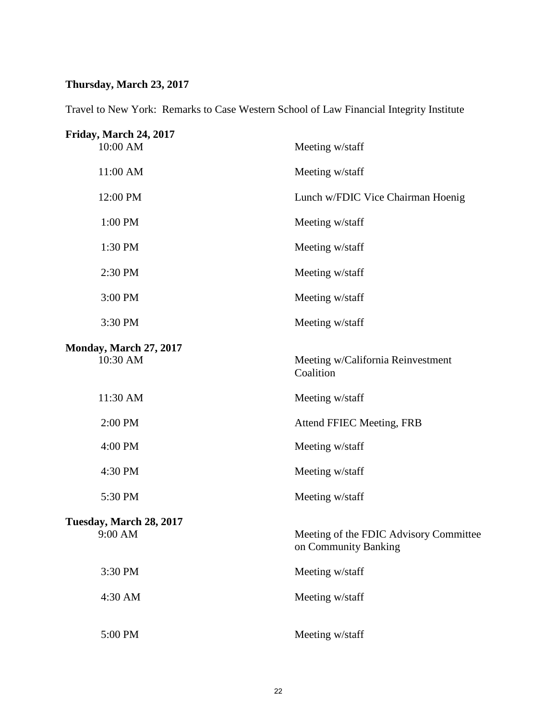## **Thursday, March 23, 2017**

Travel to New York: Remarks to Case Western School of Law Financial Integrity Institute

| Friday, March 24, 2017<br>10:00 AM        | Meeting w/staff                                                |
|-------------------------------------------|----------------------------------------------------------------|
| 11:00 AM                                  | Meeting w/staff                                                |
| 12:00 PM                                  | Lunch w/FDIC Vice Chairman Hoenig                              |
| 1:00 PM                                   | Meeting w/staff                                                |
| 1:30 PM                                   | Meeting w/staff                                                |
| 2:30 PM                                   | Meeting w/staff                                                |
| 3:00 PM                                   | Meeting w/staff                                                |
| 3:30 PM                                   | Meeting w/staff                                                |
| <b>Monday, March 27, 2017</b><br>10:30 AM | Meeting w/California Reinvestment<br>Coalition                 |
| 11:30 AM                                  | Meeting w/staff                                                |
| 2:00 PM                                   | Attend FFIEC Meeting, FRB                                      |
| 4:00 PM                                   | Meeting w/staff                                                |
| 4:30 PM                                   | Meeting w/staff                                                |
| 5:30 PM                                   | Meeting w/staff                                                |
| Tuesday, March 28, 2017<br>9:00 AM        | Meeting of the FDIC Advisory Committee<br>on Community Banking |
| 3:30 PM                                   | Meeting w/staff                                                |
| 4:30 AM                                   | Meeting w/staff                                                |
| 5:00 PM                                   | Meeting w/staff                                                |